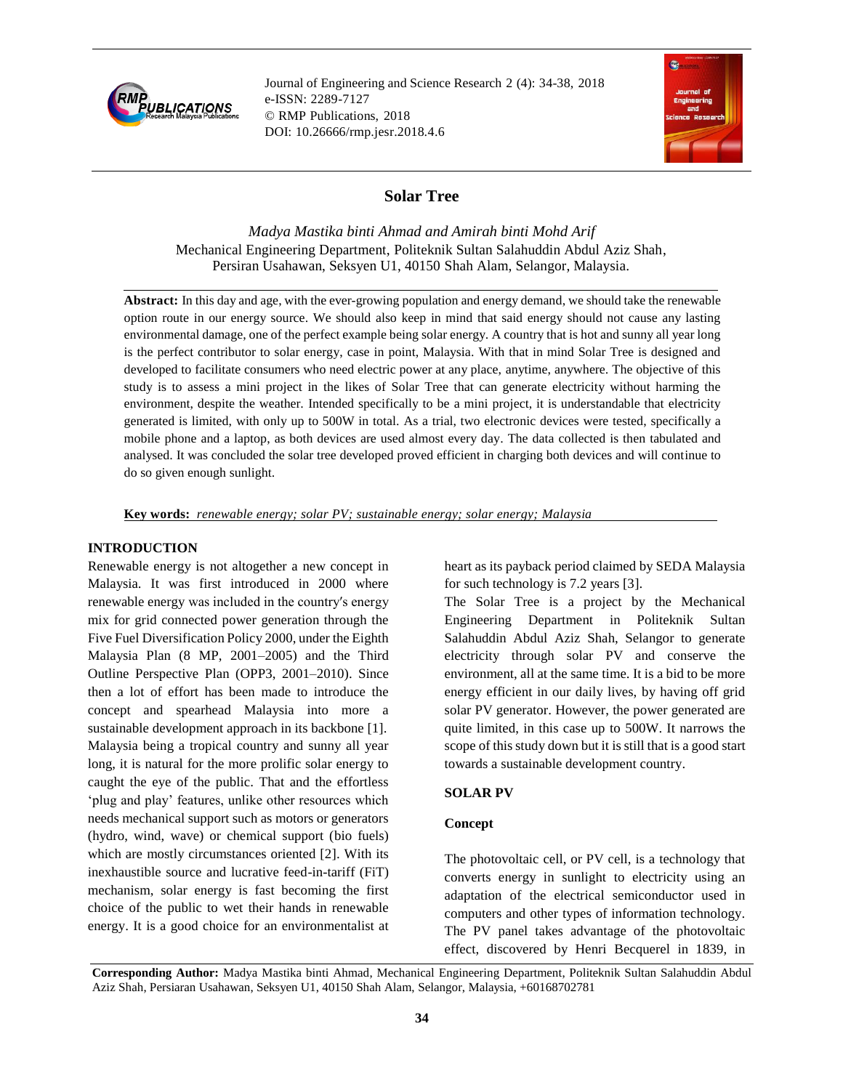

Journal of Engineering and Science Research 2 (4): 34-38, 2018 e-ISSN: 2289-7127 © RMP Publications, 2018 DOI: 10.26666/rmp.jesr.2018.4.6



# **Solar Tree**

*Madya Mastika binti Ahmad and Amirah binti Mohd Arif* Mechanical Engineering Department, Politeknik Sultan Salahuddin Abdul Aziz Shah, Persiran Usahawan, Seksyen U1, 40150 Shah Alam, Selangor, Malaysia.

**Abstract:** In this day and age, with the ever-growing population and energy demand, we should take the renewable option route in our energy source. We should also keep in mind that said energy should not cause any lasting environmental damage, one of the perfect example being solar energy. A country that is hot and sunny all year long is the perfect contributor to solar energy, case in point, Malaysia. With that in mind Solar Tree is designed and developed to facilitate consumers who need electric power at any place, anytime, anywhere. The objective of this study is to assess a mini project in the likes of Solar Tree that can generate electricity without harming the environment, despite the weather. Intended specifically to be a mini project, it is understandable that electricity generated is limited, with only up to 500W in total. As a trial, two electronic devices were tested, specifically a mobile phone and a laptop, as both devices are used almost every day. The data collected is then tabulated and analysed. It was concluded the solar tree developed proved efficient in charging both devices and will continue to do so given enough sunlight.

**Key words:** *renewable energy; solar PV; sustainable energy; solar energy; Malaysia*

#### **INTRODUCTION**

Renewable energy is not altogether a new concept in Malaysia. It was first introduced in 2000 where renewable energy was included in the country′s energy mix for grid connected power generation through the Five Fuel Diversification Policy 2000, under the Eighth Malaysia Plan (8 MP, 2001–2005) and the Third Outline Perspective Plan (OPP3, 2001–2010). Since then a lot of effort has been made to introduce the concept and spearhead Malaysia into more a sustainable development approach in its backbone [1]. Malaysia being a tropical country and sunny all year long, it is natural for the more prolific solar energy to caught the eye of the public. That and the effortless 'plug and play' features, unlike other resources which needs mechanical support such as motors or generators (hydro, wind, wave) or chemical support (bio fuels) which are mostly circumstances oriented [2]. With its inexhaustible source and lucrative feed-in-tariff (FiT) mechanism, solar energy is fast becoming the first choice of the public to wet their hands in renewable energy. It is a good choice for an environmentalist at

heart as its payback period claimed by SEDA Malaysia for such technology is 7.2 years [3].

The Solar Tree is a project by the Mechanical Engineering Department in Politeknik Sultan Salahuddin Abdul Aziz Shah, Selangor to generate electricity through solar PV and conserve the environment, all at the same time. It is a bid to be more energy efficient in our daily lives, by having off grid solar PV generator. However, the power generated are quite limited, in this case up to 500W. It narrows the scope of this study down but it is still that is a good start towards a sustainable development country.

#### **SOLAR PV**

#### **Concept**

The photovoltaic cell, or PV cell, is a technology that converts energy in sunlight to electricity using an adaptation of the electrical semiconductor used in computers and other types of information technology. The PV panel takes advantage of the photovoltaic effect, discovered by Henri Becquerel in 1839, in

**Corresponding Author:** Madya Mastika binti Ahmad, Mechanical Engineering Department, Politeknik Sultan Salahuddin Abdul Aziz Shah, Persiaran Usahawan, Seksyen U1, 40150 Shah Alam, Selangor, Malaysia, +60168702781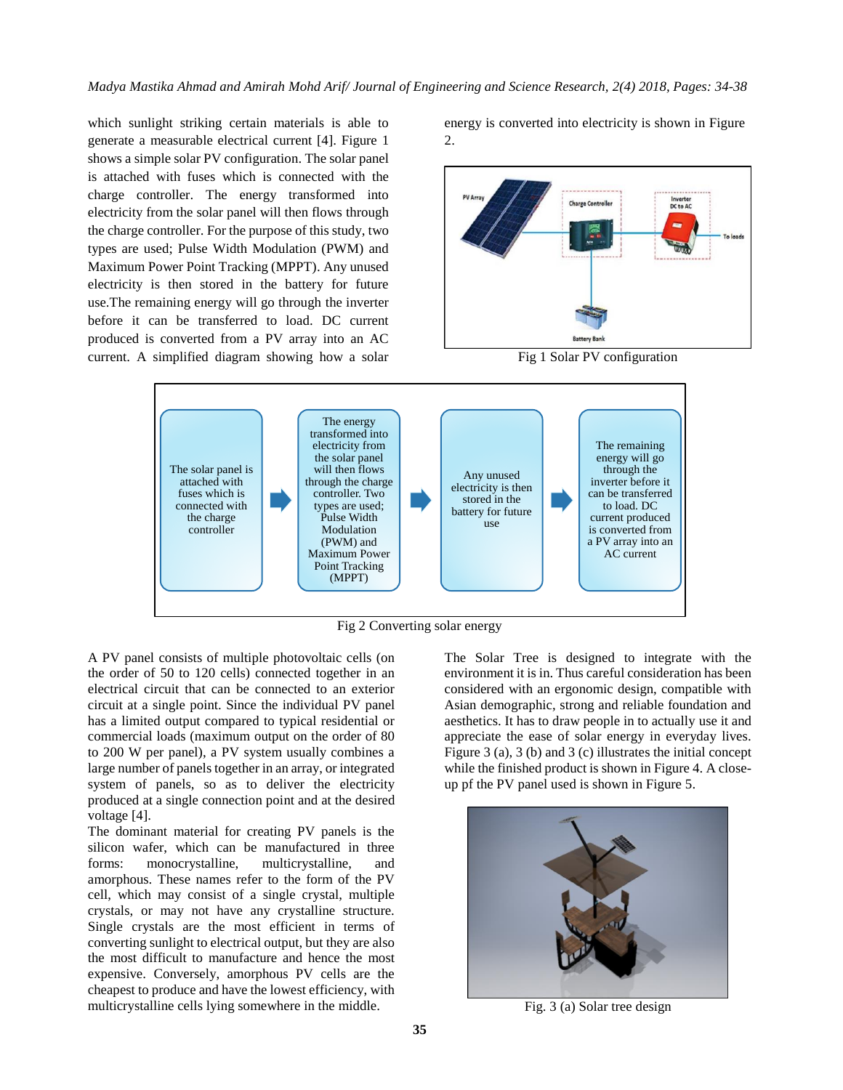which sunlight striking certain materials is able to generate a measurable electrical current [4]. Figure 1 shows a simple solar PV configuration. The solar panel is attached with fuses which is connected with the charge controller. The energy transformed into electricity from the solar panel will then flows through the charge controller. For the purpose of this study, two types are used; Pulse Width Modulation (PWM) and Maximum Power Point Tracking (MPPT). Any unused electricity is then stored in the battery for future use.The remaining energy will go through the inverter before it can be transferred to load. DC current produced is converted from a PV array into an AC current. A simplified diagram showing how a solar

energy is converted into electricity is shown in Figure 2.



Fig 1 Solar PV configuration



Fig 2 Converting solar energy

A PV panel consists of multiple photovoltaic cells (on the order of 50 to 120 cells) connected together in an electrical circuit that can be connected to an exterior circuit at a single point. Since the individual PV panel has a limited output compared to typical residential or commercial loads (maximum output on the order of 80 to 200 W per panel), a PV system usually combines a large number of panels together in an array, or integrated system of panels, so as to deliver the electricity produced at a single connection point and at the desired voltage [4].

The dominant material for creating PV panels is the silicon wafer, which can be manufactured in three forms: monocrystalline, multicrystalline, and amorphous. These names refer to the form of the PV cell, which may consist of a single crystal, multiple crystals, or may not have any crystalline structure. Single crystals are the most efficient in terms of converting sunlight to electrical output, but they are also the most difficult to manufacture and hence the most expensive. Conversely, amorphous PV cells are the cheapest to produce and have the lowest efficiency, with multicrystalline cells lying somewhere in the middle.

The Solar Tree is designed to integrate with the environment it is in. Thus careful consideration has been considered with an ergonomic design, compatible with Asian demographic, strong and reliable foundation and aesthetics. It has to draw people in to actually use it and appreciate the ease of solar energy in everyday lives. Figure 3 (a), 3 (b) and 3 (c) illustrates the initial concept while the finished product is shown in Figure 4. A closeup pf the PV panel used is shown in Figure 5.



Fig. 3 (a) Solar tree design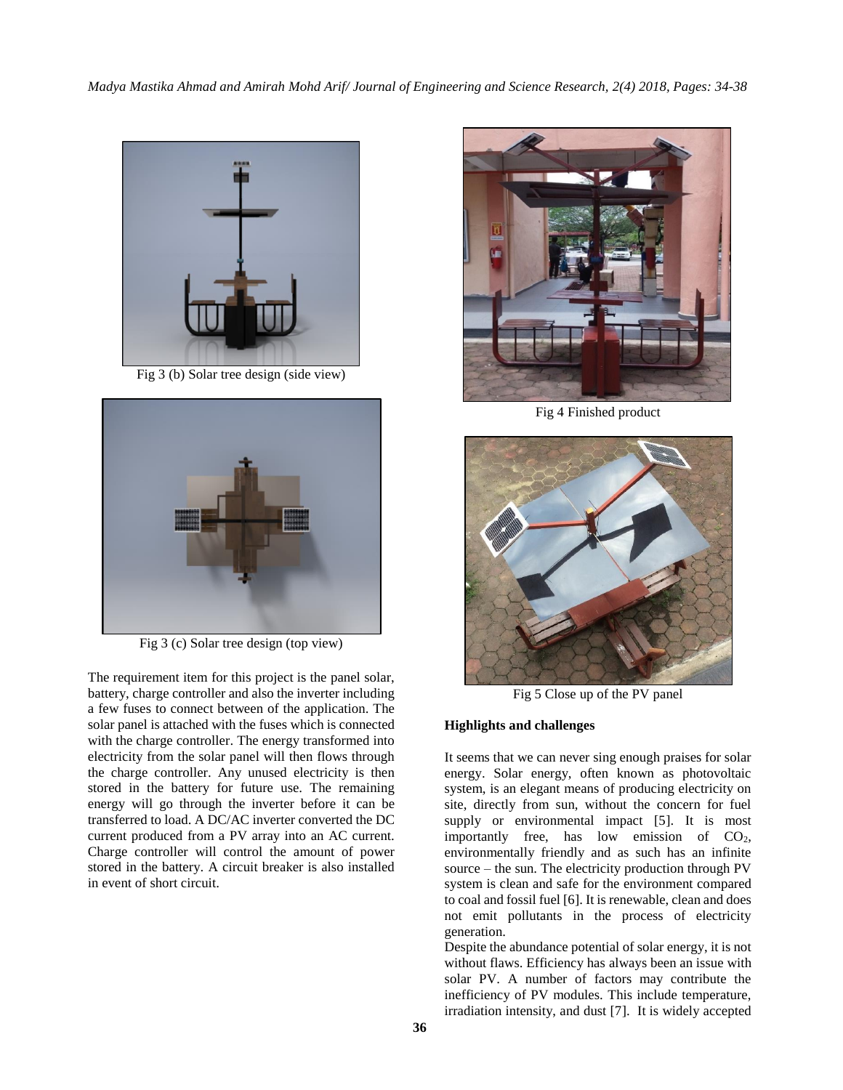*Madya Mastika Ahmad and Amirah Mohd Arif/ Journal of Engineering and Science Research, 2(4) 2018, Pages: 34-38*



Fig 3 (b) Solar tree design (side view)



Fig 3 (c) Solar tree design (top view)

The requirement item for this project is the panel solar, battery, charge controller and also the inverter including a few fuses to connect between of the application. The solar panel is attached with the fuses which is connected with the charge controller. The energy transformed into electricity from the solar panel will then flows through the charge controller. Any unused electricity is then stored in the battery for future use. The remaining energy will go through the inverter before it can be transferred to load. A DC/AC inverter converted the DC current produced from a PV array into an AC current. Charge controller will control the amount of power stored in the battery. A circuit breaker is also installed in event of short circuit.



Fig 4 Finished product



Fig 5 Close up of the PV panel

#### **Highlights and challenges**

It seems that we can never sing enough praises for solar energy. Solar energy, often known as photovoltaic system, is an elegant means of producing electricity on site, directly from sun, without the concern for fuel supply or environmental impact [5]. It is most importantly free, has low emission of CO<sub>2</sub>, environmentally friendly and as such has an infinite source – the sun. The electricity production through PV system is clean and safe for the environment compared to coal and fossil fuel [6]. It is renewable, clean and does not emit pollutants in the process of electricity generation.

Despite the abundance potential of solar energy, it is not without flaws. Efficiency has always been an issue with solar PV. A number of factors may contribute the inefficiency of PV modules. This include temperature, irradiation intensity, and dust [7]. It is widely accepted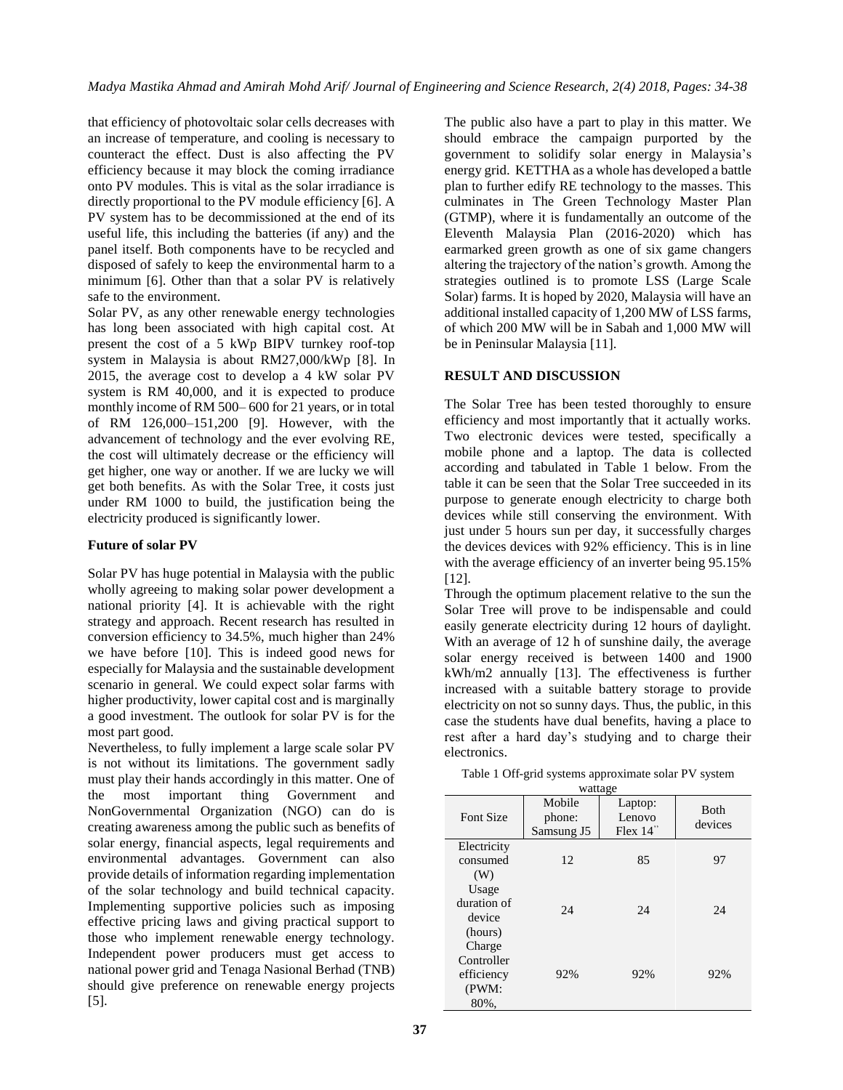that efficiency of photovoltaic solar cells decreases with an increase of temperature, and cooling is necessary to counteract the effect. Dust is also affecting the PV efficiency because it may block the coming irradiance onto PV modules. This is vital as the solar irradiance is directly proportional to the PV module efficiency [6]. A PV system has to be decommissioned at the end of its useful life, this including the batteries (if any) and the panel itself. Both components have to be recycled and disposed of safely to keep the environmental harm to a minimum [6]. Other than that a solar PV is relatively safe to the environment.

Solar PV, as any other renewable energy technologies has long been associated with high capital cost. At present the cost of a 5 kWp BIPV turnkey roof-top system in Malaysia is about RM27,000/kWp [8]. In 2015, the average cost to develop a 4 kW solar PV system is RM 40,000, and it is expected to produce monthly income of RM 500– 600 for 21 years, or in total of RM 126,000–151,200 [9]. However, with the advancement of technology and the ever evolving RE, the cost will ultimately decrease or the efficiency will get higher, one way or another. If we are lucky we will get both benefits. As with the Solar Tree, it costs just under RM 1000 to build, the justification being the electricity produced is significantly lower.

### **Future of solar PV**

Solar PV has huge potential in Malaysia with the public wholly agreeing to making solar power development a national priority [4]. It is achievable with the right strategy and approach. Recent research has resulted in conversion efficiency to 34.5%, much higher than 24% we have before [10]. This is indeed good news for especially for Malaysia and the sustainable development scenario in general. We could expect solar farms with higher productivity, lower capital cost and is marginally a good investment. The outlook for solar PV is for the most part good.

Nevertheless, to fully implement a large scale solar PV is not without its limitations. The government sadly must play their hands accordingly in this matter. One of the most important thing Government and NonGovernmental Organization (NGO) can do is creating awareness among the public such as benefits of solar energy, financial aspects, legal requirements and environmental advantages. Government can also provide details of information regarding implementation of the solar technology and build technical capacity. Implementing supportive policies such as imposing effective pricing laws and giving practical support to those who implement renewable energy technology. Independent power producers must get access to national power grid and Tenaga Nasional Berhad (TNB) should give preference on renewable energy projects [5].

The public also have a part to play in this matter. We should embrace the campaign purported by the government to solidify solar energy in Malaysia's energy grid. KETTHA as a whole has developed a battle plan to further edify RE technology to the masses. This culminates in The Green Technology Master Plan (GTMP), where it is fundamentally an outcome of the Eleventh Malaysia Plan (2016-2020) which has earmarked green growth as one of six game changers altering the trajectory of the nation's growth. Among the strategies outlined is to promote LSS (Large Scale Solar) farms. It is hoped by 2020, Malaysia will have an additional installed capacity of 1,200 MW of LSS farms, of which 200 MW will be in Sabah and 1,000 MW will be in Peninsular Malaysia [11].

## **RESULT AND DISCUSSION**

The Solar Tree has been tested thoroughly to ensure efficiency and most importantly that it actually works. Two electronic devices were tested, specifically a mobile phone and a laptop. The data is collected according and tabulated in Table 1 below. From the table it can be seen that the Solar Tree succeeded in its purpose to generate enough electricity to charge both devices while still conserving the environment. With just under 5 hours sun per day, it successfully charges the devices devices with 92% efficiency. This is in line with the average efficiency of an inverter being 95.15% [12].

Through the optimum placement relative to the sun the Solar Tree will prove to be indispensable and could easily generate electricity during 12 hours of daylight. With an average of 12 h of sunshine daily, the average solar energy received is between 1400 and 1900 kWh/m2 annually [13]. The effectiveness is further increased with a suitable battery storage to provide electricity on not so sunny days. Thus, the public, in this case the students have dual benefits, having a place to rest after a hard day's studying and to charge their electronics.

| Table 1 Off-grid systems approximate solar PV system |  |
|------------------------------------------------------|--|
| wattage                                              |  |

| <b>Font Size</b>                                    | Mobile<br>phone:<br>Samsung J5 | Laptop:<br>Lenovo<br>Flex $14$ " | <b>B</b> oth<br>devices |
|-----------------------------------------------------|--------------------------------|----------------------------------|-------------------------|
| Electricity<br>consumed                             | 12                             | 85                               | 97                      |
| (W)                                                 |                                |                                  |                         |
| Usage<br>duration of<br>device<br>(hours)           | 24                             | 24                               | 24                      |
| Charge<br>Controller<br>efficiency<br>(PWM:<br>80%. | 92%                            | 92%                              | 92%                     |